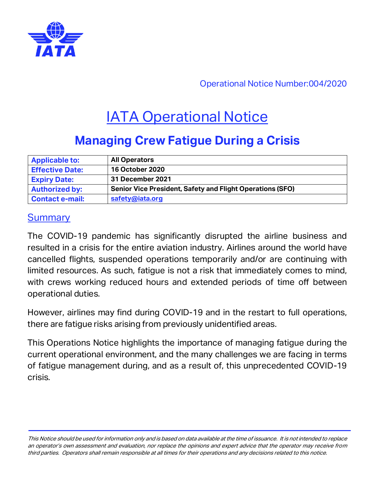

Operational Notice Number:004/2020

# **IATA Operational Notice**

## **Managing Crew Fatigue During a Crisis**

| <b>Applicable to:</b>  | <b>All Operators</b>                                             |
|------------------------|------------------------------------------------------------------|
| <b>Effective Date:</b> | <b>16 October 2020</b>                                           |
| <b>Expiry Date:</b>    | 31 December 2021                                                 |
| <b>Authorized by:</b>  | <b>Senior Vice President, Safety and Flight Operations (SFO)</b> |
| <b>Contact e-mail:</b> | safety@iata.org                                                  |

#### **Summary**

The COVID-19 pandemic has significantly disrupted the airline business and resulted in a crisis for the entire aviation industry. Airlines around the world have cancelled flights, suspended operations temporarily and/or are continuing with limited resources. As such, fatigue is not a risk that immediately comes to mind, with crews working reduced hours and extended periods of time off between operational duties.

However, airlines may find during COVID-19 and in the restart to full operations, there are fatigue risks arising from previously unidentified areas.

This Operations Notice highlights the importance of managing fatigue during the current operational environment, and the many challenges we are facing in terms of fatigue management during, and as a result of, this unprecedented COVID-19 crisis.

This Notice should be used for information only and is based on data available at the time of issuance. It is not intended to replace an operator's own assessment and evaluation, nor replace the opinions and expert advice that the operator may receive fro<sup>m</sup> third parties. Operators shall remain responsible at all times for their operations and any decisions related to this notice.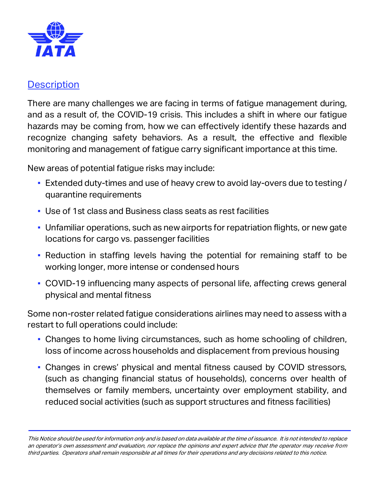

#### **Description**

There are many challenges we are facing in terms of fatigue management during, and as a result of, the COVID-19 crisis. This includes a shift in where our fatigue hazards may be coming from, how we can effectively identify these hazards and recognize changing safety behaviors. As a result, the effective and flexible monitoring and management of fatigue carry significant importance at this time.

New areas of potential fatigue risks may include:

- Extended duty-times and use of heavy crew to avoid lay-overs due to testing / quarantine requirements
- Use of 1st class and Business class seats as rest facilities
- Unfamiliar operations, such as new airports for repatriation flights, or new gate locations for cargo vs. passenger facilities
- Reduction in staffing levels having the potential for remaining staff to be working longer, more intense or condensed hours
- COVID-19 influencing many aspects of personal life, affecting crews general physical and mental fitness

Some non-roster related fatigue considerations airlines may need to assess with a restart to full operations could include:

- Changes to home living circumstances, such as home schooling of children, loss of income across households and displacement from previous housing
- Changes in crews' physical and mental fitness caused by COVID stressors, (such as changing financial status of households), concerns over health of themselves or family members, uncertainty over employment stability, and reduced social activities (such as support structures and fitness facilities)

This Notice should be used for information only and is based on data available at the time of issuance. It is not intended to replace an operator's own assessment and evaluation, nor replace the opinions and expert advice that the operator may receive fro<sup>m</sup> third parties. Operators shall remain responsible at all times for their operations and any decisions related to this notice.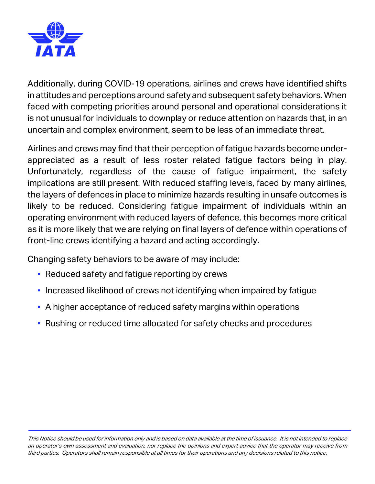

Additionally, during COVID-19 operations, airlines and crews have identified shifts in attitudes and perceptions around safety and subsequent safety behaviors. When faced with competing priorities around personal and operational considerations it is not unusual for individuals to downplay or reduce attention on hazards that, in an uncertain and complex environment, seem to be less of an immediate threat.

Airlines and crews may find that their perception of fatigue hazards become underappreciated as a result of less roster related fatigue factors being in play. Unfortunately, regardless of the cause of fatigue impairment, the safety implications are still present. With reduced staffing levels, faced by many airlines, the layers of defences in place to minimize hazards resulting in unsafe outcomes is likely to be reduced. Considering fatigue impairment of individuals within an operating environment with reduced layers of defence, this becomes more critical as it is more likely that we are relying on final layers of defence within operations of front-line crews identifying a hazard and acting accordingly.

Changing safety behaviors to be aware of may include:

- Reduced safety and fatigue reporting by crews
- **Increased likelihood of crews not identifying when impaired by fatigue**
- A higher acceptance of reduced safety margins within operations
- Rushing or reduced time allocated for safety checks and procedures